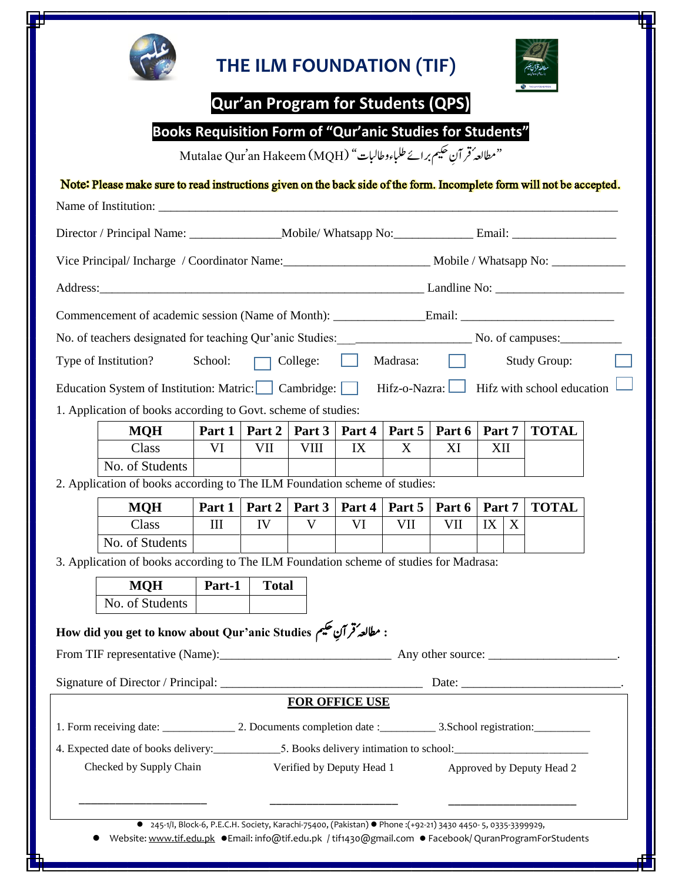

# **THE ILM FOUNDATION (TIF) .**



## **Qur'an Program for Students (QPS)**

|  |  |  |  | <b>Books Requisition Form of "Qur'anic Studies for Students"</b> |  |  |
|--|--|--|--|------------------------------------------------------------------|--|--|
|--|--|--|--|------------------------------------------------------------------|--|--|

Mutalae Qur'an Hakeem (MQH) "نمطالعہ ُقر آنِ تحكیم برائے طلباءوطالبات "

### Note: Please make sure to read instructions given on the back side of the form. Incomplete form will not be accepted.

|                                                                                        |         |                           | Director / Principal Name: _______________Mobile/ Whatsapp No: _______________Email: ________________________ |        |                           |        |              |                                            |  |
|----------------------------------------------------------------------------------------|---------|---------------------------|---------------------------------------------------------------------------------------------------------------|--------|---------------------------|--------|--------------|--------------------------------------------|--|
|                                                                                        |         |                           |                                                                                                               |        |                           |        |              |                                            |  |
|                                                                                        |         |                           |                                                                                                               |        |                           |        |              |                                            |  |
| Commencement of academic session (Name of Month): Email: ________________________      |         |                           |                                                                                                               |        |                           |        |              |                                            |  |
|                                                                                        |         |                           |                                                                                                               |        |                           |        |              |                                            |  |
| Type of Institution?                                                                   | School: |                           | $\Box$ College: $\Box$<br>Madrasa:                                                                            |        |                           |        | Study Group: |                                            |  |
| Education System of Institution: Matric: Cambridge:                                    |         |                           |                                                                                                               |        |                           |        |              | $Hifz-o-Nazra:$ Hifz with school education |  |
| 1. Application of books according to Govt. scheme of studies:                          |         |                           |                                                                                                               |        |                           |        |              |                                            |  |
| <b>MQH</b>                                                                             | Part 1  | Part 2                    | Part 3                                                                                                        | Part 4 | Part 5                    | Part 6 | Part 7       | <b>TOTAL</b>                               |  |
| Class                                                                                  | VI      | VII                       | <b>VIII</b>                                                                                                   | IX     | X                         | XI     | XII          |                                            |  |
| No. of Students                                                                        |         |                           |                                                                                                               |        |                           |        |              |                                            |  |
| 2. Application of books according to The ILM Foundation scheme of studies:             |         |                           |                                                                                                               |        |                           |        |              |                                            |  |
| <b>MQH</b>                                                                             | Part 1  | Part 2                    | Part 3                                                                                                        | Part 4 | Part 5                    | Part 6 | Part 7       | <b>TOTAL</b>                               |  |
| Class                                                                                  | III     | IV                        | V                                                                                                             | VI     | VII                       | VII    | IX<br>X      |                                            |  |
| No. of Students                                                                        |         |                           |                                                                                                               |        |                           |        |              |                                            |  |
| 3. Application of books according to The ILM Foundation scheme of studies for Madrasa: |         |                           |                                                                                                               |        |                           |        |              |                                            |  |
| <b>MQH</b>                                                                             | Part-1  | <b>Total</b>              |                                                                                                               |        |                           |        |              |                                            |  |
| No. of Students                                                                        |         |                           |                                                                                                               |        |                           |        |              |                                            |  |
| : مطالعهُ قرآنِ تحكيم How did you get to know about Qur'anic Studies                   |         |                           |                                                                                                               |        |                           |        |              |                                            |  |
|                                                                                        |         |                           |                                                                                                               |        |                           |        |              |                                            |  |
|                                                                                        |         |                           | <b>FOR OFFICE USE</b>                                                                                         |        |                           |        |              |                                            |  |
| 1. Form receiving date: 2. Documents completion date: 2. School registration:          |         |                           |                                                                                                               |        |                           |        |              |                                            |  |
|                                                                                        |         |                           |                                                                                                               |        |                           |        |              |                                            |  |
| Checked by Supply Chain                                                                |         | Verified by Deputy Head 1 |                                                                                                               |        | Approved by Deputy Head 2 |        |              |                                            |  |
|                                                                                        |         |                           |                                                                                                               |        |                           |        |              |                                            |  |
|                                                                                        |         |                           |                                                                                                               |        |                           |        |              |                                            |  |

Website: www.tif.edu.pk 
· Email: info@tif.edu.pk / tif1430@gmail.com • Facebook/ QuranProgramForStudents